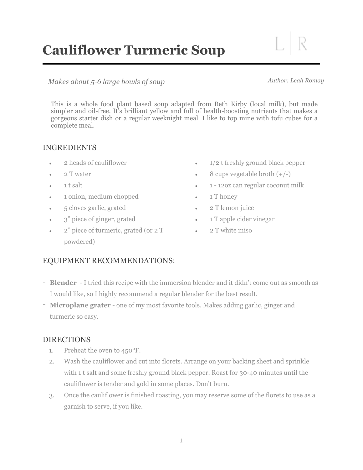# **Cauliflower Turmeric Soup**

*Makes about 5-6 large bowls of soup Author: Leah Romay* 

This is a whole food plant based soup adapted from Beth Kirby (local milk), but made simpler and oil-free. It's brilliant yellow and full of health-boosting nutrients that makes a gorgeous starter dish or a regular weeknight meal. I like to top mine with tofu cubes for a complete meal.

## INGREDIENTS

- 2 heads of cauliflower
- 2 T water
- 1 t salt
- 1 onion, medium chopped
- 5 cloves garlic, grated
- 3" piece of ginger, grated
- 2" piece of turmeric, grated (or 2 T powdered)
- 1/2 t freshly ground black pepper
- 8 cups vegetable broth  $(+/-)$
- 1 12oz can regular coconut milk
- 1 T honey
- 2 T lemon juice
- 1 T apple cider vinegar
- 2 T white miso

## EQUIPMENT RECOMMENDATIONS:

- **Blender** I tried this recipe with the immersion blender and it didn't come out as smooth as I would like, so I highly recommend a regular blender for the best result.
- **Microplane grater** one of my most favorite tools. Makes adding garlic, ginger and turmeric so easy.

#### DIRECTIONS

- 1. Preheat the oven to 450°F.
- 2. Wash the cauliflower and cut into florets. Arrange on your backing sheet and sprinkle with 1 t salt and some freshly ground black pepper. Roast for 30-40 minutes until the cauliflower is tender and gold in some places. Don't burn.
- 3. Once the cauliflower is finished roasting, you may reserve some of the florets to use as a garnish to serve, if you like.